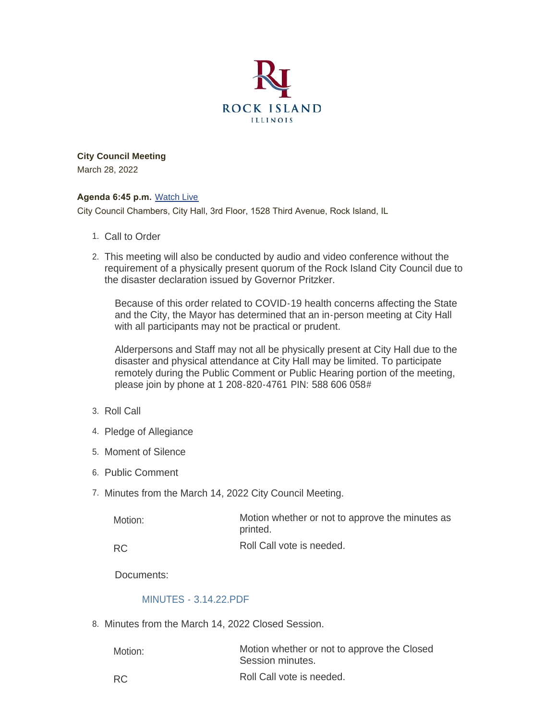

**City Council Meeting** March 28, 2022

#### **Agenda 6:45 p.m.** [Watch Live](https://www.youtube.com/user/RockIslandIL/live)

City Council Chambers, City Hall, 3rd Floor, 1528 Third Avenue, Rock Island, IL

- 1. Call to Order
- This meeting will also be conducted by audio and video conference without the 2. requirement of a physically present quorum of the Rock Island City Council due to the disaster declaration issued by Governor Pritzker.

Because of this order related to COVID-19 health concerns affecting the State and the City, the Mayor has determined that an in-person meeting at City Hall with all participants may not be practical or prudent.

Alderpersons and Staff may not all be physically present at City Hall due to the disaster and physical attendance at City Hall may be limited. To participate remotely during the Public Comment or Public Hearing portion of the meeting, please join by phone at 1 208-820-4761 PIN: 588 606 058#

- 3. Roll Call
- 4. Pledge of Allegiance
- 5. Moment of Silence
- 6. Public Comment
- 7. Minutes from the March 14, 2022 City Council Meeting.

| Motion: | Motion whether or not to approve the minutes as<br>printed. |
|---------|-------------------------------------------------------------|
| D∩      | Roll Call vote is needed.                                   |

RC

Documents:

#### [MINUTES - 3.14.22.PDF](https://www.rigov.org/AgendaCenter/ViewFile/Item/5447?fileID=7832)

8. Minutes from the March 14, 2022 Closed Session.

| Motion:   | Motion whether or not to approve the Closed<br>Session minutes. |
|-----------|-----------------------------------------------------------------|
| <b>RC</b> | Roll Call vote is needed.                                       |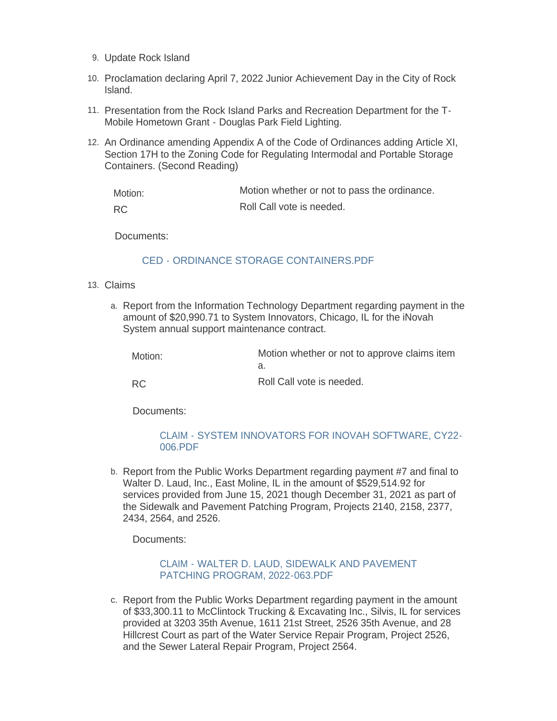- 9. Update Rock Island
- 10. Proclamation declaring April 7, 2022 Junior Achievement Day in the City of Rock Island.
- 11. Presentation from the Rock Island Parks and Recreation Department for the T-Mobile Hometown Grant - Douglas Park Field Lighting.
- 12. An Ordinance amending Appendix A of the Code of Ordinances adding Article XI, Section 17H to the Zoning Code for Regulating Intermodal and Portable Storage Containers. (Second Reading)

| Motion:   | Motion whether or not to pass the ordinance. |
|-----------|----------------------------------------------|
| <b>RC</b> | Roll Call vote is needed.                    |

Documents:

#### [CED - ORDINANCE STORAGE CONTAINERS.PDF](https://www.rigov.org/AgendaCenter/ViewFile/Item/5452?fileID=7829)

- Claims 13.
	- a. Report from the Information Technology Department regarding payment in the amount of \$20,990.71 to System Innovators, Chicago, IL for the iNovah System annual support maintenance contract.

| Motion: | Motion whether or not to approve claims item |
|---------|----------------------------------------------|
|         | _  _  _ .                                    |

RC

Roll Call vote is needed.

Documents:

#### [CLAIM - SYSTEM INNOVATORS FOR INOVAH SOFTWARE, CY22-](https://www.rigov.org/AgendaCenter/ViewFile/Item/5443?fileID=7822) 006.PDF

b. Report from the Public Works Department regarding payment #7 and final to Walter D. Laud, Inc., East Moline, IL in the amount of \$529,514.92 for services provided from June 15, 2021 though December 31, 2021 as part of the Sidewalk and Pavement Patching Program, Projects 2140, 2158, 2377, 2434, 2564, and 2526.

Documents:

#### [CLAIM - WALTER D. LAUD, SIDEWALK AND PAVEMENT](https://www.rigov.org/AgendaCenter/ViewFile/Item/5442?fileID=7821)  PATCHING PROGRAM, 2022-063.PDF

c. Report from the Public Works Department regarding payment in the amount of \$33,300.11 to McClintock Trucking & Excavating Inc., Silvis, IL for services provided at 3203 35th Avenue, 1611 21st Street, 2526 35th Avenue, and 28 Hillcrest Court as part of the Water Service Repair Program, Project 2526, and the Sewer Lateral Repair Program, Project 2564.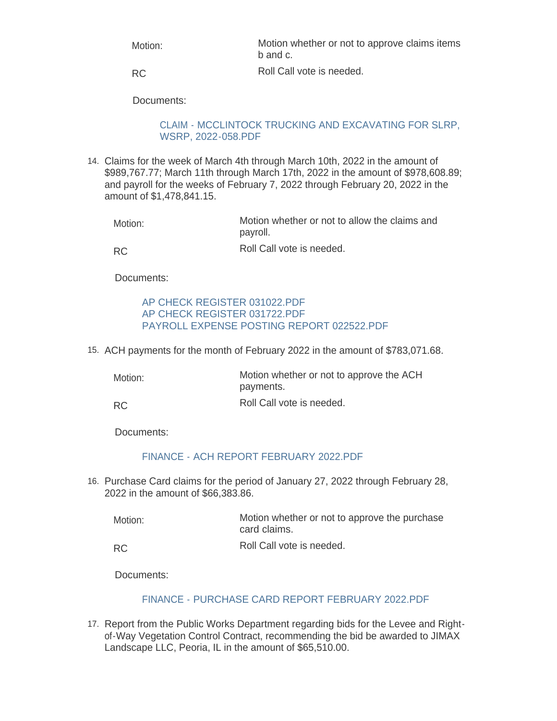| Motion: | Motion whether or not to approve claims items<br>b and c. |
|---------|-----------------------------------------------------------|
| RC      | Roll Call vote is needed.                                 |

RC

Documents:

### [CLAIM - MCCLINTOCK TRUCKING AND EXCAVATING FOR SLRP,](https://www.rigov.org/AgendaCenter/ViewFile/Item/5438?fileID=7817)  WSRP, 2022-058.PDF

Claims for the week of March 4th through March 10th, 2022 in the amount of 14. \$989,767.77; March 11th through March 17th, 2022 in the amount of \$978,608.89; and payroll for the weeks of February 7, 2022 through February 20, 2022 in the amount of \$1,478,841.15.

| Motion:   | Motion whether or not to allow the claims and<br>payroll. |
|-----------|-----------------------------------------------------------|
| <b>RC</b> | Roll Call vote is needed.                                 |

Documents:

## [AP CHECK REGISTER 031022.PDF](https://www.rigov.org/AgendaCenter/ViewFile/Item/5433?fileID=7811) [AP CHECK REGISTER 031722.PDF](https://www.rigov.org/AgendaCenter/ViewFile/Item/5433?fileID=7812) [PAYROLL EXPENSE POSTING REPORT 022522.PDF](https://www.rigov.org/AgendaCenter/ViewFile/Item/5433?fileID=7825)

15. ACH payments for the month of February 2022 in the amount of \$783,071.68.

| Motion:   | Motion whether or not to approve the ACH<br>payments. |
|-----------|-------------------------------------------------------|
| <b>RC</b> | Roll Call vote is needed.                             |

Documents:

# [FINANCE - ACH REPORT FEBRUARY 2022.PDF](https://www.rigov.org/AgendaCenter/ViewFile/Item/5434?fileID=7813)

16. Purchase Card claims for the period of January 27, 2022 through February 28, 2022 in the amount of \$66,383.86.

| Motion: | Motion whether or not to approve the purchase<br>card claims. |
|---------|---------------------------------------------------------------|
| RC.     | Roll Call vote is needed.                                     |

Documents:

### [FINANCE - PURCHASE CARD REPORT FEBRUARY 2022.PDF](https://www.rigov.org/AgendaCenter/ViewFile/Item/5435?fileID=7814)

17. Report from the Public Works Department regarding bids for the Levee and Rightof-Way Vegetation Control Contract, recommending the bid be awarded to JIMAX Landscape LLC, Peoria, IL in the amount of \$65,510.00.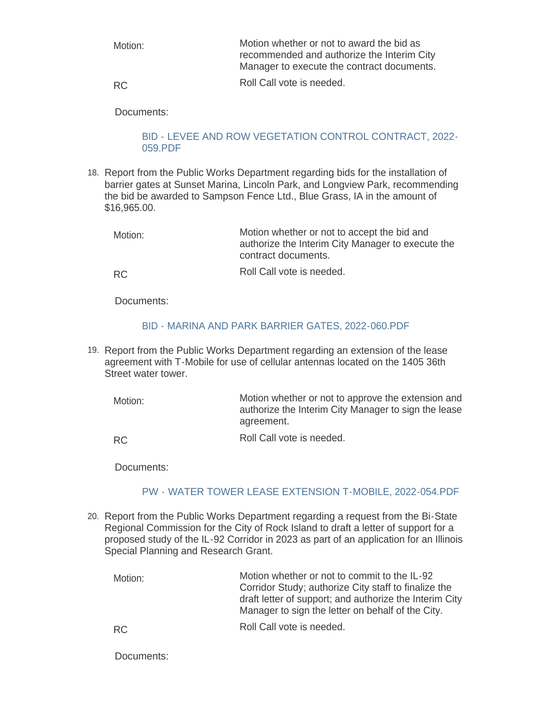| Motion: | Motion whether or not to award the bid as<br>recommended and authorize the Interim City<br>Manager to execute the contract documents. |
|---------|---------------------------------------------------------------------------------------------------------------------------------------|
| RC.     | Roll Call vote is needed.                                                                                                             |

RC

Documents:

### [BID - LEVEE AND ROW VEGETATION CONTROL CONTRACT, 2022-](https://www.rigov.org/AgendaCenter/ViewFile/Item/5439?fileID=7818) 059.PDF

18. Report from the Public Works Department regarding bids for the installation of barrier gates at Sunset Marina, Lincoln Park, and Longview Park, recommending the bid be awarded to Sampson Fence Ltd., Blue Grass, IA in the amount of \$16,965.00.

| Motion: | Motion whether or not to accept the bid and<br>authorize the Interim City Manager to execute the<br>contract documents. |
|---------|-------------------------------------------------------------------------------------------------------------------------|
| െ ⊂     | Roll Call vote is needed.                                                                                               |

RC

Documents:

# [BID - MARINA AND PARK BARRIER GATES, 2022-060.PDF](https://www.rigov.org/AgendaCenter/ViewFile/Item/5440?fileID=7819)

19. Report from the Public Works Department regarding an extension of the lease agreement with T-Mobile for use of cellular antennas located on the 1405 36th Street water tower.

Motion whether or not to approve the extension and authorize the Interim City Manager to sign the lease agreement. Motion:

Roll Call vote is needed. RC

Documents:

# [PW - WATER TOWER LEASE EXTENSION T-MOBILE, 2022-054.PDF](https://www.rigov.org/AgendaCenter/ViewFile/Item/5437?fileID=7816)

20. Report from the Public Works Department regarding a request from the Bi-State Regional Commission for the City of Rock Island to draft a letter of support for a proposed study of the IL-92 Corridor in 2023 as part of an application for an Illinois Special Planning and Research Grant.

| Motion:   | Motion whether or not to commit to the IL-92<br>Corridor Study; authorize City staff to finalize the<br>draft letter of support; and authorize the Interim City<br>Manager to sign the letter on behalf of the City. |
|-----------|----------------------------------------------------------------------------------------------------------------------------------------------------------------------------------------------------------------------|
| <b>RC</b> | Roll Call vote is needed.                                                                                                                                                                                            |

Documents: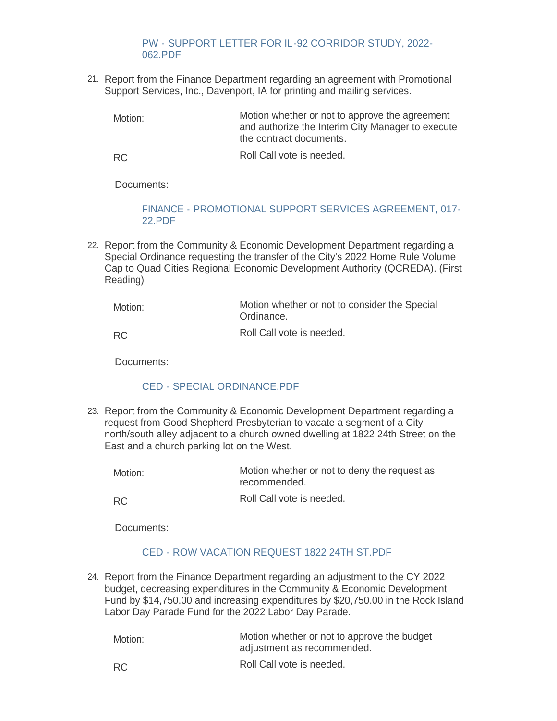### [PW - SUPPORT LETTER FOR IL-92 CORRIDOR STUDY, 2022-](https://www.rigov.org/AgendaCenter/ViewFile/Item/5441?fileID=7820) 062.PDF

21. Report from the Finance Department regarding an agreement with Promotional Support Services, Inc., Davenport, IA for printing and mailing services.

Motion whether or not to approve the agreement and authorize the Interim City Manager to execute the contract documents. Motion:

Roll Call vote is needed. RC

Documents:

### [FINANCE - PROMOTIONAL SUPPORT SERVICES AGREEMENT, 017-](https://www.rigov.org/AgendaCenter/ViewFile/Item/5446?fileID=7824) 22.PDF

22. Report from the Community & Economic Development Department regarding a Special Ordinance requesting the transfer of the City's 2022 Home Rule Volume Cap to Quad Cities Regional Economic Development Authority (QCREDA). (First Reading)

| Motion: | Motion whether or not to consider the Special<br>Ordinance. |
|---------|-------------------------------------------------------------|
| RC.     | Roll Call vote is needed.                                   |

Documents:

### [CED - SPECIAL ORDINANCE.PDF](https://www.rigov.org/AgendaCenter/ViewFile/Item/5455?fileID=7830)

23. Report from the Community & Economic Development Department regarding a request from Good Shepherd Presbyterian to vacate a segment of a City north/south alley adjacent to a church owned dwelling at 1822 24th Street on the East and a church parking lot on the West.

| Motion: | Motion whether or not to deny the request as<br>recommended. |
|---------|--------------------------------------------------------------|
|         |                                                              |

Roll Call vote is needed. RC

Documents:

# [CED - ROW VACATION REQUEST 1822 24TH ST.PDF](https://www.rigov.org/AgendaCenter/ViewFile/Item/5451?fileID=7834)

Report from the Finance Department regarding an adjustment to the CY 2022 24. budget, decreasing expenditures in the Community & Economic Development Fund by \$14,750.00 and increasing expenditures by \$20,750.00 in the Rock Island Labor Day Parade Fund for the 2022 Labor Day Parade.

| Motion: | Motion whether or not to approve the budget<br>adjustment as recommended. |
|---------|---------------------------------------------------------------------------|
| RC.     | Roll Call vote is needed.                                                 |